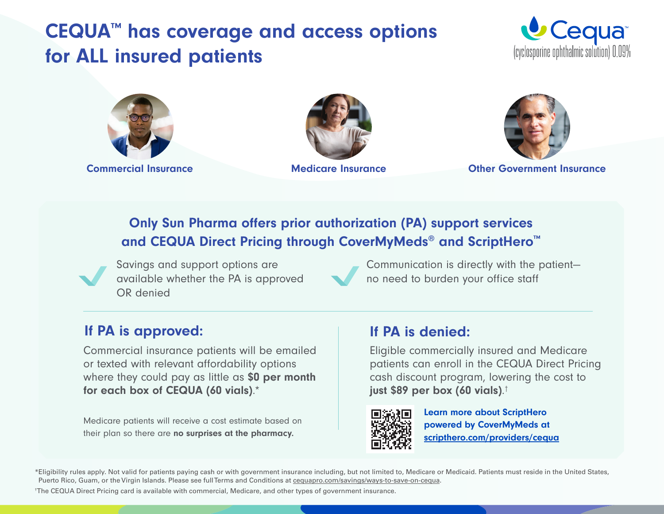# CEQUA™ has coverage and access options for ALL insured patients









Commercial Insurance Medicare Insurance Other Government Insurance

### Only Sun Pharma offers prior authorization (PA) support services and CEQUA Direct Pricing through CoverMyMeds® and ScriptHero<sup>™</sup>

Savings and support options are available whether the PA is approved OR denied



Communication is directly with the patient no need to burden your office staff

### If PA is approved: If PA is denied:

Commercial insurance patients will be emailed or texted with relevant affordability options where they could pay as little as \$0 per month for each box of CEQUA (60 vials).\*

Medicare patients will receive a cost estimate based on their plan so there are no surprises at the pharmacy.

Eligible commercially insured and Medicare patients can enroll in the CEQUA Direct Pricing cash discount program, lowering the cost to just \$89 per box (60 vials). †



Learn more about ScriptHero powered by CoverMyMeds at scripthero.com/providers/cequa

\*Eligibility rules apply. Not valid for patients paying cash or with government insurance including, but not limited to, Medicare or Medicaid. Patients must reside in the United States, Puerto Rico, Guam, or the Virgin Islands. Please see full Terms and Conditions at cequapro.com/savings/ways-to-save-on-cequa.

† The CEQUA Direct Pricing card is available with commercial, Medicare, and other types of government insurance.